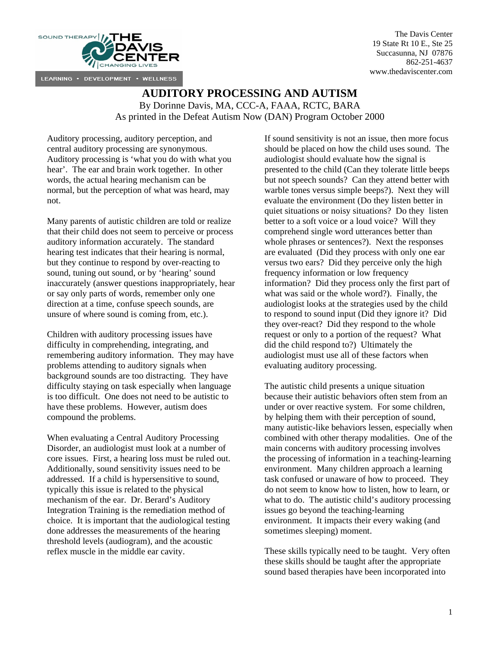

The Davis Center 19 State Rt 10 E., Ste 25 Succasunna, NJ 07876 862-251-4637 www.thedaviscenter.com

## **AUDITORY PROCESSING AND AUTISM**

By Dorinne Davis, MA, CCC-A, FAAA, RCTC, BARA

As printed in the Defeat Autism Now (DAN) Program October 2000

Auditory processing, auditory perception, and central auditory processing are synonymous. Auditory processing is 'what you do with what you hear'. The ear and brain work together. In other words, the actual hearing mechanism can be normal, but the perception of what was heard, may not.

Many parents of autistic children are told or realize that their child does not seem to perceive or process auditory information accurately. The standard hearing test indicates that their hearing is normal, but they continue to respond by over-reacting to sound, tuning out sound, or by 'hearing' sound inaccurately (answer questions inappropriately, hear or say only parts of words, remember only one direction at a time, confuse speech sounds, are unsure of where sound is coming from, etc.).

Children with auditory processing issues have difficulty in comprehending, integrating, and remembering auditory information. They may have problems attending to auditory signals when background sounds are too distracting. They have difficulty staying on task especially when language is too difficult. One does not need to be autistic to have these problems. However, autism does compound the problems.

When evaluating a Central Auditory Processing Disorder, an audiologist must look at a number of core issues. First, a hearing loss must be ruled out. Additionally, sound sensitivity issues need to be addressed. If a child is hypersensitive to sound, typically this issue is related to the physical mechanism of the ear. Dr. Berard's Auditory Integration Training is the remediation method of choice. It is important that the audiological testing done addresses the measurements of the hearing threshold levels (audiogram), and the acoustic reflex muscle in the middle ear cavity.

If sound sensitivity is not an issue, then more focus should be placed on how the child uses sound. The audiologist should evaluate how the signal is presented to the child (Can they tolerate little beeps but not speech sounds? Can they attend better with warble tones versus simple beeps?). Next they will evaluate the environment (Do they listen better in quiet situations or noisy situations? Do they listen better to a soft voice or a loud voice? Will they comprehend single word utterances better than whole phrases or sentences?). Next the responses are evaluated (Did they process with only one ear versus two ears? Did they perceive only the high frequency information or low frequency information? Did they process only the first part of what was said or the whole word?). Finally, the audiologist looks at the strategies used by the child to respond to sound input (Did they ignore it? Did they over-react? Did they respond to the whole request or only to a portion of the request? What did the child respond to?) Ultimately the audiologist must use all of these factors when evaluating auditory processing.

The autistic child presents a unique situation because their autistic behaviors often stem from an under or over reactive system. For some children, by helping them with their perception of sound, many autistic-like behaviors lessen, especially when combined with other therapy modalities. One of the main concerns with auditory processing involves the processing of information in a teaching-learning environment. Many children approach a learning task confused or unaware of how to proceed. They do not seem to know how to listen, how to learn, or what to do. The autistic child's auditory processing issues go beyond the teaching-learning environment. It impacts their every waking (and sometimes sleeping) moment.

These skills typically need to be taught. Very often these skills should be taught after the appropriate sound based therapies have been incorporated into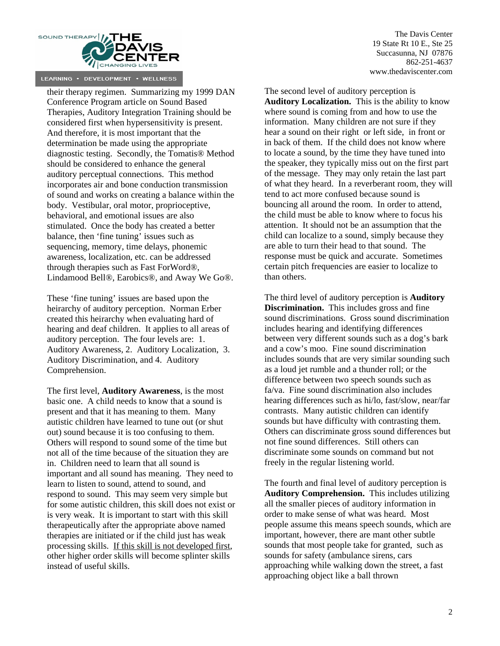

their therapy regimen. Summarizing my 1999 DAN Conference Program article on Sound Based Therapies, Auditory Integration Training should be considered first when hypersensitivity is present. And therefore, it is most important that the determination be made using the appropriate diagnostic testing. Secondly, the Tomatis® Method should be considered to enhance the general auditory perceptual connections. This method incorporates air and bone conduction transmission of sound and works on creating a balance within the body. Vestibular, oral motor, proprioceptive, behavioral, and emotional issues are also stimulated. Once the body has created a better balance, then 'fine tuning' issues such as sequencing, memory, time delays, phonemic awareness, localization, etc. can be addressed through therapies such as Fast ForWord®, Lindamood Bell®, Earobics®, and Away We Go®.

These 'fine tuning' issues are based upon the heirarchy of auditory perception. Norman Erber created this heirarchy when evaluating hard of hearing and deaf children. It applies to all areas of auditory perception. The four levels are: 1. Auditory Awareness, 2. Auditory Localization, 3. Auditory Discrimination, and 4. Auditory Comprehension.

The first level, **Auditory Awareness**, is the most basic one. A child needs to know that a sound is present and that it has meaning to them. Many autistic children have learned to tune out (or shut out) sound because it is too confusing to them. Others will respond to sound some of the time but not all of the time because of the situation they are in. Children need to learn that all sound is important and all sound has meaning. They need to learn to listen to sound, attend to sound, and respond to sound. This may seem very simple but for some autistic children, this skill does not exist or is very weak. It is important to start with this skill therapeutically after the appropriate above named therapies are initiated or if the child just has weak processing skills. If this skill is not developed first, other higher order skills will become splinter skills instead of useful skills.

The Davis Center 19 State Rt 10 E., Ste 25 Succasunna, NJ 07876 862-251-4637 www.thedaviscenter.com

The second level of auditory perception is **Auditory Localization.** This is the ability to know where sound is coming from and how to use the information. Many children are not sure if they hear a sound on their right or left side, in front or in back of them. If the child does not know where to locate a sound, by the time they have tuned into the speaker, they typically miss out on the first part of the message. They may only retain the last part of what they heard. In a reverberant room, they will tend to act more confused because sound is bouncing all around the room. In order to attend, the child must be able to know where to focus his attention. It should not be an assumption that the child can localize to a sound, simply because they are able to turn their head to that sound. The response must be quick and accurate. Sometimes certain pitch frequencies are easier to localize to than others.

The third level of auditory perception is **Auditory Discrimination.** This includes gross and fine sound discriminations. Gross sound discrimination includes hearing and identifying differences between very different sounds such as a dog's bark and a cow's moo. Fine sound discrimination includes sounds that are very similar sounding such as a loud jet rumble and a thunder roll; or the difference between two speech sounds such as fa/va. Fine sound discrimination also includes hearing differences such as hi/lo, fast/slow, near/far contrasts. Many autistic children can identify sounds but have difficulty with contrasting them. Others can discriminate gross sound differences but not fine sound differences. Still others can discriminate some sounds on command but not freely in the regular listening world.

The fourth and final level of auditory perception is **Auditory Comprehension.** This includes utilizing all the smaller pieces of auditory information in order to make sense of what was heard. Most people assume this means speech sounds, which are important, however, there are mant other subtle sounds that most people take for granted, such as sounds for safety (ambulance sirens, cars approaching while walking down the street, a fast approaching object like a ball thrown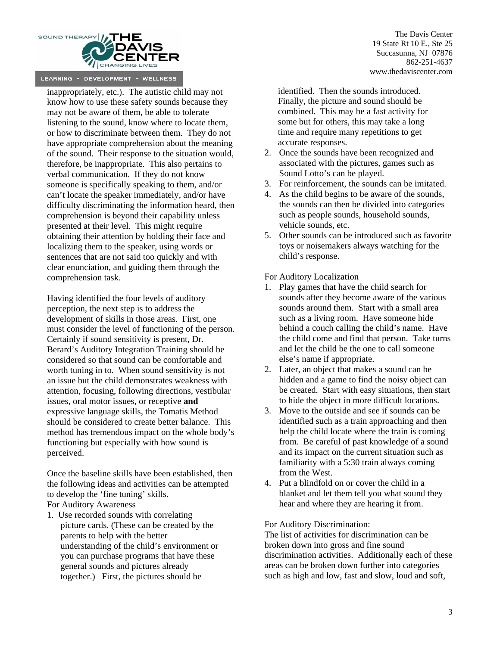

inappropriately, etc.). The autistic child may not know how to use these safety sounds because they may not be aware of them, be able to tolerate listening to the sound, know where to locate them, or how to discriminate between them. They do not have appropriate comprehension about the meaning of the sound. Their response to the situation would, therefore, be inappropriate. This also pertains to verbal communication. If they do not know someone is specifically speaking to them, and/or can't locate the speaker immediately, and/or have difficulty discriminating the information heard, then comprehension is beyond their capability unless presented at their level. This might require obtaining their attention by holding their face and localizing them to the speaker, using words or sentences that are not said too quickly and with clear enunciation, and guiding them through the comprehension task.

Having identified the four levels of auditory perception, the next step is to address the development of skills in those areas. First, one must consider the level of functioning of the person. Certainly if sound sensitivity is present, Dr. Berard's Auditory Integration Training should be considered so that sound can be comfortable and worth tuning in to. When sound sensitivity is not an issue but the child demonstrates weakness with attention, focusing, following directions, vestibular issues, oral motor issues, or receptive **and**  expressive language skills, the Tomatis Method should be considered to create better balance. This method has tremendous impact on the whole body's functioning but especially with how sound is perceived.

Once the baseline skills have been established, then the following ideas and activities can be attempted to develop the 'fine tuning' skills. For Auditory Awareness

1. Use recorded sounds with correlating picture cards. (These can be created by the parents to help with the better understanding of the child's environment or you can purchase programs that have these general sounds and pictures already together.) First, the pictures should be

The Davis Center 19 State Rt 10 E., Ste 25 Succasunna, NJ 07876 862-251-4637 www.thedaviscenter.com

 identified. Then the sounds introduced. Finally, the picture and sound should be combined. This may be a fast activity for some but for others, this may take a long time and require many repetitions to get accurate responses.

- 2. Once the sounds have been recognized and associated with the pictures, games such as Sound Lotto's can be played.
- 3. For reinforcement, the sounds can be imitated.
- 4. As the child begins to be aware of the sounds, the sounds can then be divided into categories such as people sounds, household sounds, vehicle sounds, etc.
- 5. Other sounds can be introduced such as favorite toys or noisemakers always watching for the child's response.

For Auditory Localization

- 1. Play games that have the child search for sounds after they become aware of the various sounds around them. Start with a small area such as a living room. Have someone hide behind a couch calling the child's name. Have the child come and find that person. Take turns and let the child be the one to call someone else's name if appropriate.
- 2. Later, an object that makes a sound can be hidden and a game to find the noisy object can be created. Start with easy situations, then start to hide the object in more difficult locations.
- 3. Move to the outside and see if sounds can be identified such as a train approaching and then help the child locate where the train is coming from. Be careful of past knowledge of a sound and its impact on the current situation such as familiarity with a 5:30 train always coming from the West.
- 4. Put a blindfold on or cover the child in a blanket and let them tell you what sound they hear and where they are hearing it from.

For Auditory Discrimination:

The list of activities for discrimination can be broken down into gross and fine sound discrimination activities. Additionally each of these areas can be broken down further into categories such as high and low, fast and slow, loud and soft,